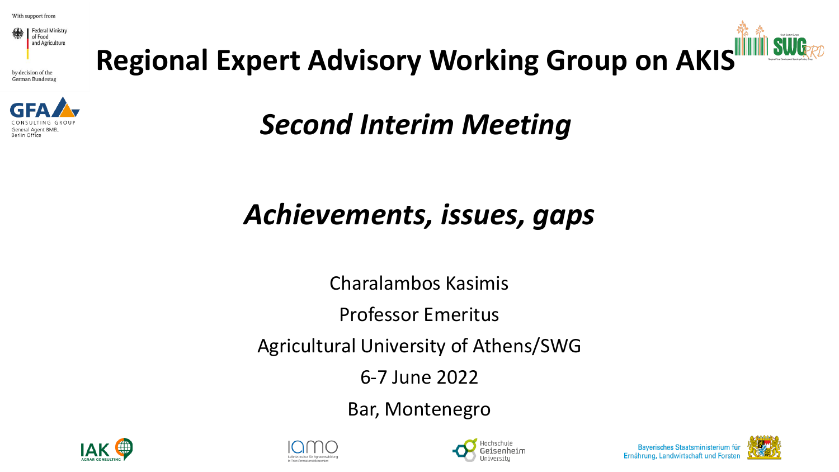

by decision of the German Bundestag



**Regional Expert Advisory Working Group on AKIS**



*Second Interim Meeting*

#### *Achievements, issues, gaps*

Charalambos Kasimis

Professor Emeritus

Agricultural University of Athens/SWG

6-7 June 2022

Bar, Montenegro







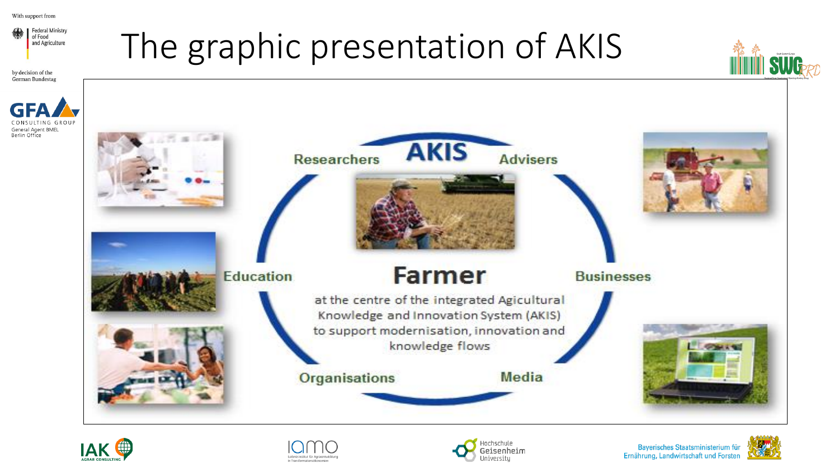

by decision of the German Bundestag

Berlin Office

### The graphic presentation of AKIS











Bayerisches Staatsministerium für Ernährung, Landwirtschaft und Forsten

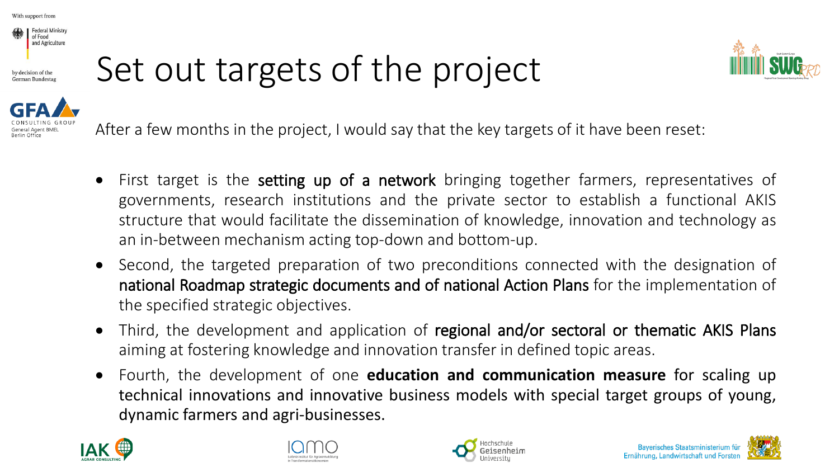

## Set out targets of the project





- First target is the setting up of a network bringing together farmers, representatives of governments, research institutions and the private sector to establish a functional AKIS structure that would facilitate the dissemination of knowledge, innovation and technology as an in-between mechanism acting top-down and bottom-up.
- Second, the targeted preparation of two preconditions connected with the designation of national Roadmap strategic documents and of national Action Plans for the implementation of the specified strategic objectives.
- Third, the development and application of regional and/or sectoral or thematic AKIS Plans aiming at fostering knowledge and innovation transfer in defined topic areas.
- Fourth, the development of one **education and communication measure** for scaling up technical innovations and innovative business models with special target groups of young, dynamic farmers and agri-businesses.







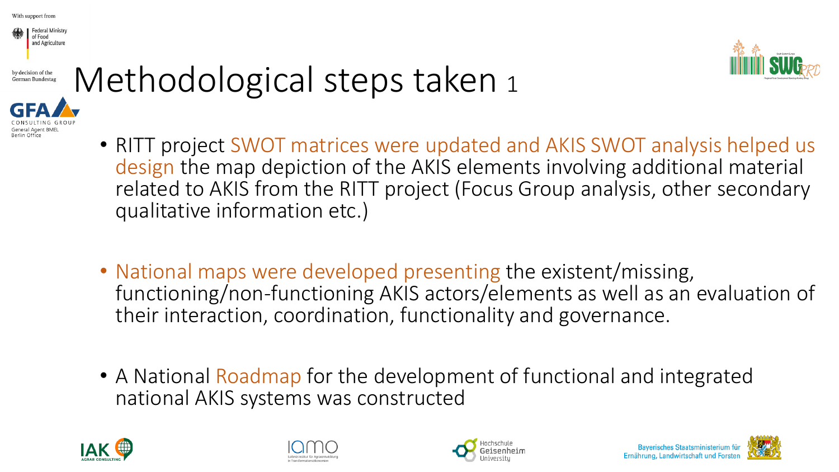

by decision of the German Bundestas



### Methodological steps taken 1



- RITT project SWOT matrices were updated and AKIS SWOT analysis helped us design the map depiction of the AKIS elements involving additional material related to AKIS from the RITT project (Focus Group analysis, other secondary qualitative information etc.)
- National maps were developed presenting the existent/missing, functioning/non-functioning AKIS actors/elements as well as an evaluation of their interaction, coordination, functionality and governance.
- A National Roadmap for the development of functional and integrated national AKIS systems was constructed









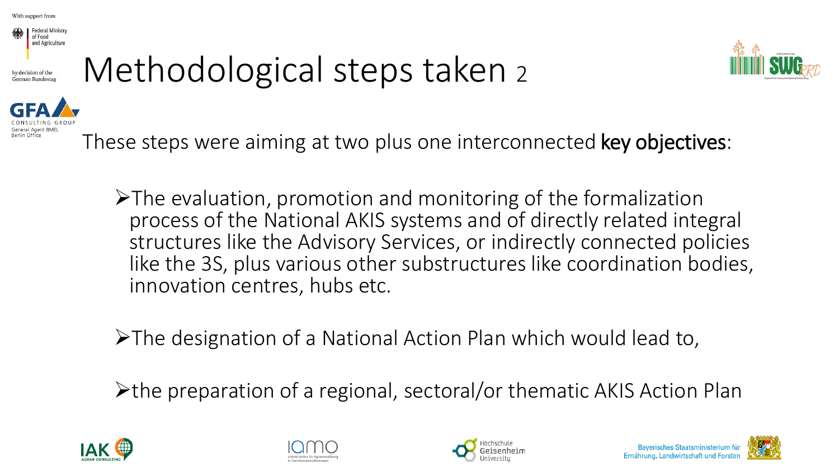

### Methodological steps taken <sup>2</sup>



These steps were aiming at two plus one interconnected key objectives:

➢The evaluation, promotion and monitoring of the formalization process of the National AKIS systems and of directly related integral structures like the Advisory Services, or indirectly connected policies like the 3S, plus various other substructures like coordination bodies, innovation centres, hubs etc.

➢The designation of a National Action Plan which would lead to,

➢the preparation of a regional, sectoral/or thematic AKIS Action Plan







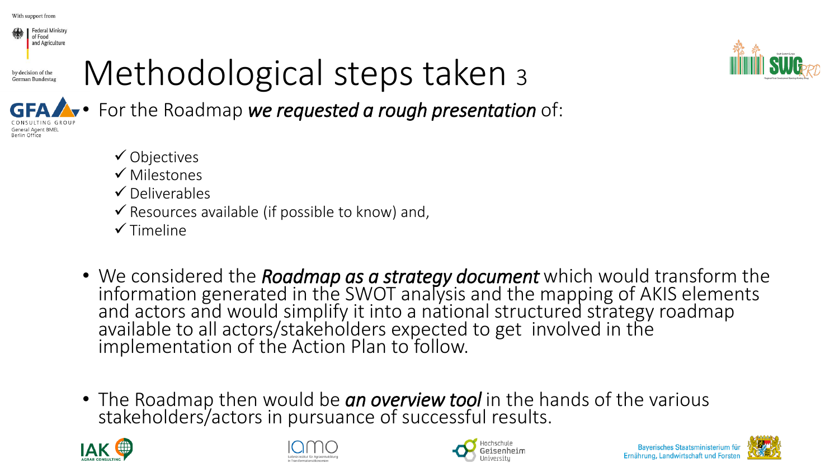

by decision of the German Bundestag

**Seneral Agent BMEL** Berlin Office

## Methodological steps taken <sup>3</sup>



• For the Roadmap *we requested a rough presentation* of:

- ✓ Objectives
- ✓ Milestones
- $\checkmark$  Deliverables
- $\checkmark$  Resources available (if possible to know) and,
- $\checkmark$  Timeline
- We considered the *Roadmap as a strategy document* which would transform the information generated in the SWOT analysis and the mapping of AKIS elements and actors and would simplify it into a national structured strategy roadmap available to all actors/stakeholders expected to get involved in the implementation of the Action Plan to follow.
- The Roadmap then would be *an overview tool* in the hands of the various stakeholders/actors in pursuance of successful results.







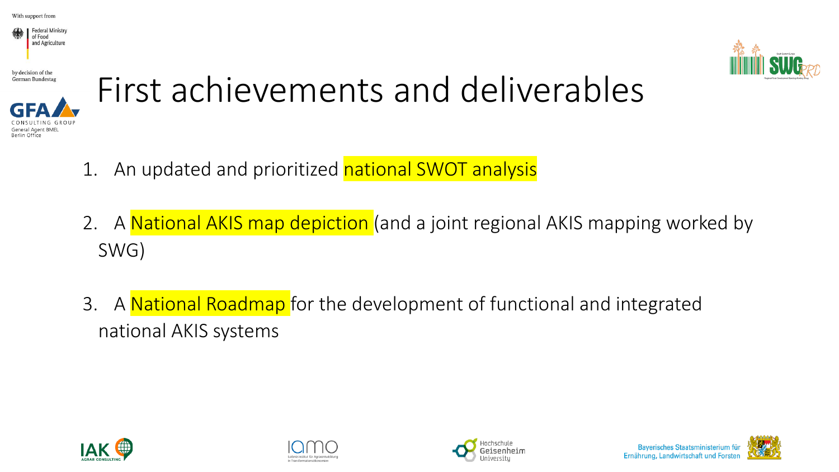

by decision of the **German Bundestag** 

Berlin Office





- 1. An updated and prioritized national SWOT analysis
- 2. A National AKIS map depiction (and a joint regional AKIS mapping worked by SWG)
- 3. A National Roadmap for the development of functional and integrated national AKIS systems







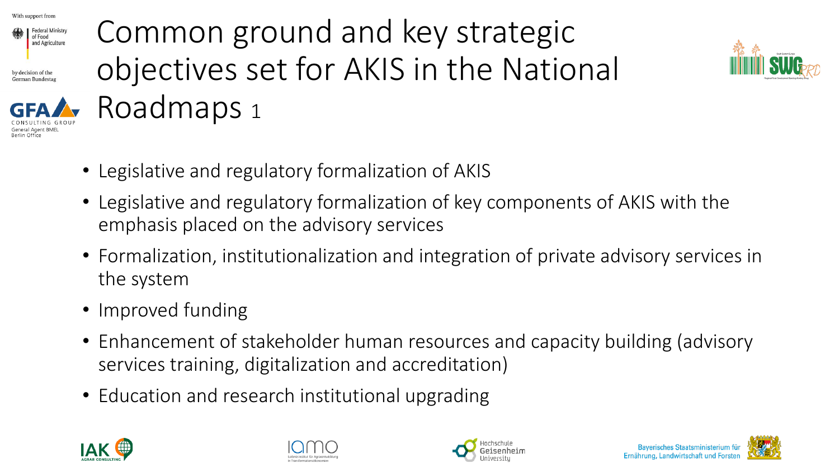

by decision of the German Bundesta



### Common ground and key strategic objectives set for AKIS in the National Roadmaps <sup>1</sup>



- Legislative and regulatory formalization of AKIS
- Legislative and regulatory formalization of key components of AKIS with the emphasis placed on the advisory services
- Formalization, institutionalization and integration of private advisory services in the system
- Improved funding
- Enhancement of stakeholder human resources and capacity building (advisory services training, digitalization and accreditation)
- Education and research institutional upgrading







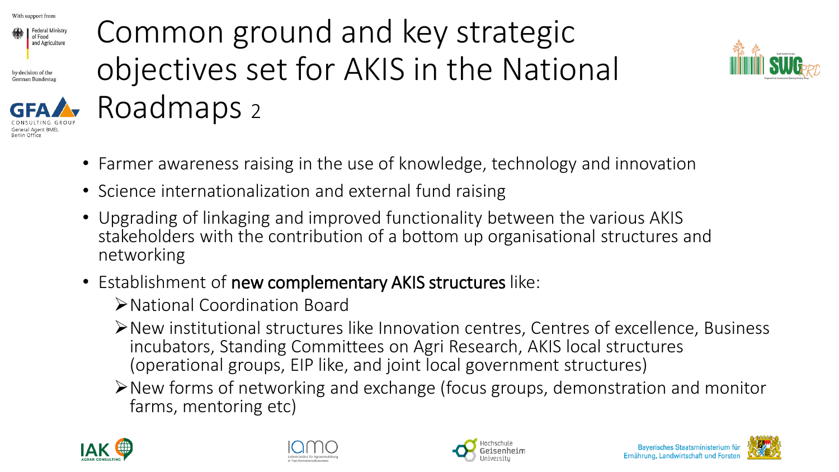

by decision of the German Bundesta



#### Common ground and key strategic objectives set for AKIS in the National Roadmaps <sup>2</sup>



- Farmer awareness raising in the use of knowledge, technology and innovation
- Science internationalization and external fund raising
- Upgrading of linkaging and improved functionality between the various AKIS stakeholders with the contribution of a bottom up organisational structures and networking
- Establishment of new complementary AKIS structures like:
	- ➢National Coordination Board
	- ➢New institutional structures like Innovation centres, Centres of excellence, Business incubators, Standing Committees on Agri Research, AKIS local structures (operational groups, EIP like, and joint local government structures)
	- ➢New forms of networking and exchange (focus groups, demonstration and monitor farms, mentoring etc)







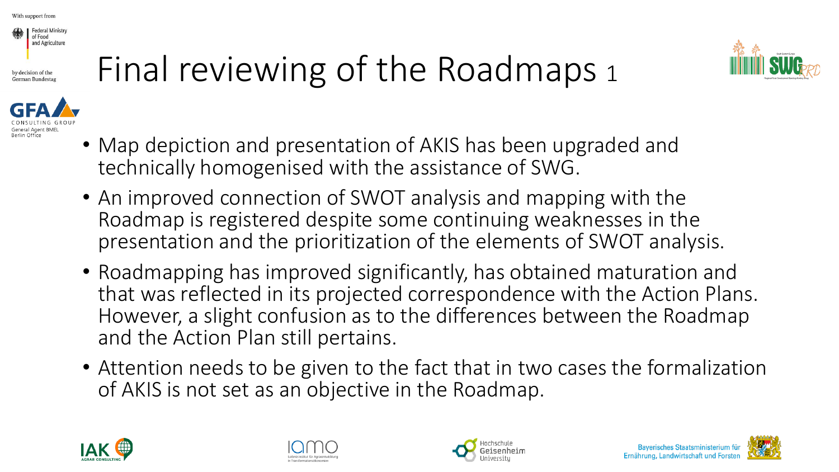

Berlin Office





- Map depiction and presentation of AKIS has been upgraded and technically homogenised with the assistance of SWG.
- An improved connection of SWOT analysis and mapping with the Roadmap is registered despite some continuing weaknesses in the presentation and the prioritization of the elements of SWOT analysis.
- Roadmapping has improved significantly, has obtained maturation and that was reflected in its projected correspondence with the Action Plans. However, a slight confusion as to the differences between the Roadmap and the Action Plan still pertains.
- Attention needs to be given to the fact that in two cases the formalization of AKIS is not set as an objective in the Roadmap.